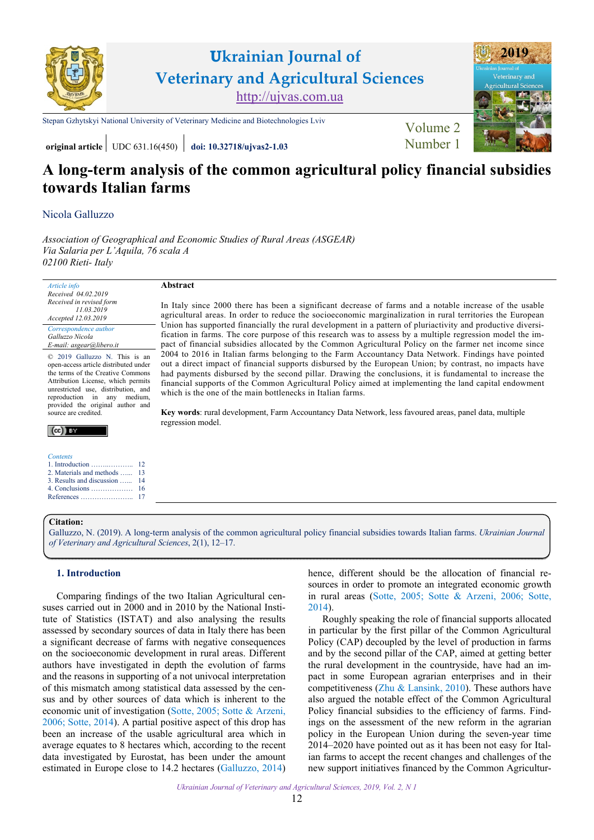

# **Ukrainian Journal of Veterinary and Agricultural Sciences** <http://ujvas.com.ua>

[Stepan Gzhytskyi National University of Veterinary Medicine and Biotechnologies Lviv](https://lvet.edu.ua) Volume 2

**[2019](https://ujvas.com.ua/index.php/journal/issue/view/3)** altural Scie

**original article** UDC 631.16(450) **[doi: 10.32718/ujvas2-1.03](https://doi.org/10.32718/ujvas2-1.03)** [Number 1](https://ujvas.com.ua/index.php/journal/issue/view/3)

# **A long-term analysis of the common agricultural policy financial subsidies towards Italian farms**

In Italy since 2000 there has been a significant decrease of farms and a notable increase of the usable agricultural areas. In order to reduce the socioeconomic marginalization in rural territories the European Union has supported financially the rural development in a pattern of pluriactivity and productive diversification in farms. The core purpose of this research was to assess by a multiple regression model the impact of financial subsidies allocated by the Common Agricultural Policy on the farmer net income since 2004 to 2016 in Italian farms belonging to the Farm Accountancy Data Network. Findings have pointed out a direct impact of financial supports disbursed by the European Union; by contrast, no impacts have had payments disbursed by the second pillar. Drawing the conclusions, it is fundamental to increase the financial supports of the Common Agricultural Policy aimed at implementing the land capital endowment

**Key words**: rural development, Farm Accountancy Data Network, less favoured areas, panel data, multiple

## Nicola Galluzzo

*Association of Geographical and Economic Studies of Rural Areas (ASGEAR) Via Salaria per L'Aquila, 76 scala A 02100 Rieti- Italy*

**Abstract** 

regression model.

*Article info Received 04.02.2019 Received in revised form 11.03.2019 Accepted 12.03.2019* 

*Correspondence author Galluzzo Nicola E-mail: asgear@libero.it* 

© 2019 Galluzzo N. This is an open-access article distributed under the terms of the Creative Commons Attribution License, which permits unrestricted use, distribution, and reproduction in any medium, provided the original author and source are credited.



#### *Contents*

- 1. Introduction ……..……….. [2. Materials and methods …...](#page-1-0)  [3. Results and discussion …...](#page-2-0) [4. Conclusions ………………](#page-4-0) 12 [13](#page-1-0) [14](#page-2-0) [16](#page-4-0)
- [References …………………..](#page-5-0) [17](#page-5-0)

### **Citation:**

[Galluzzo, N. \(2019\). A long-term analysis of the common agricultural policy financial subsidies towards Italian farms.](https://doi.org/10.32718/ujvas2-1.03) *Ukrainian Journal of Veterinary and Agricultural Sciences*, 2(1), 12–17.

which is the one of the main bottlenecks in Italian farms.

## **1. Introduction**

Comparing findings of the two Italian Agricultural censuses carried out in 2000 and in 2010 by the National Institute of Statistics (ISTAT) and also analysing the results assessed by secondary sources of data in Italy there has been a significant decrease of farms with negative consequences on the socioeconomic development in rural areas. Different authors have investigated in depth the evolution of farms and the reasons in supporting of a not univocal interpretation of this mismatch among statistical data assessed by the census and by other sources of data which is inherent to the economic unit of investigation [\(Sotte, 2005](#page-5-0); [Sotte & Arzeni,](#page-5-0) [2006;](#page-5-0) [Sotte, 2014](#page-5-0)). A partial positive aspect of this drop has been an increase of the usable agricultural area which in average equates to 8 hectares which, according to the recent data investigated by Eurostat, has been under the amount estimated in Europe close to 14.2 hectares [\(Galluzzo, 2014\)](#page-5-0) hence, different should be the allocation of financial resources in order to promote an integrated economic growth in rural areas [\(Sotte, 2005](#page-5-0); [Sotte & Arzeni, 2006](#page-5-0); [Sotte](#page-5-0), [2014](#page-5-0)).

Roughly speaking the role of financial supports allocated in particular by the first pillar of the Common Agricultural Policy (CAP) decoupled by the level of production in farms and by the second pillar of the CAP, aimed at getting better the rural development in the countryside, have had an impact in some European agrarian enterprises and in their competitiveness ([Zhu & Lansink, 2010](#page-5-0)). These authors have also argued the notable effect of the Common Agricultural Policy financial subsidies to the efficiency of farms. Findings on the assessment of the new reform in the agrarian policy in the European Union during the seven-year time 2014–2020 have pointed out as it has been not easy for Italian farms to accept the recent changes and challenges of the new support initiatives financed by the Common Agricultur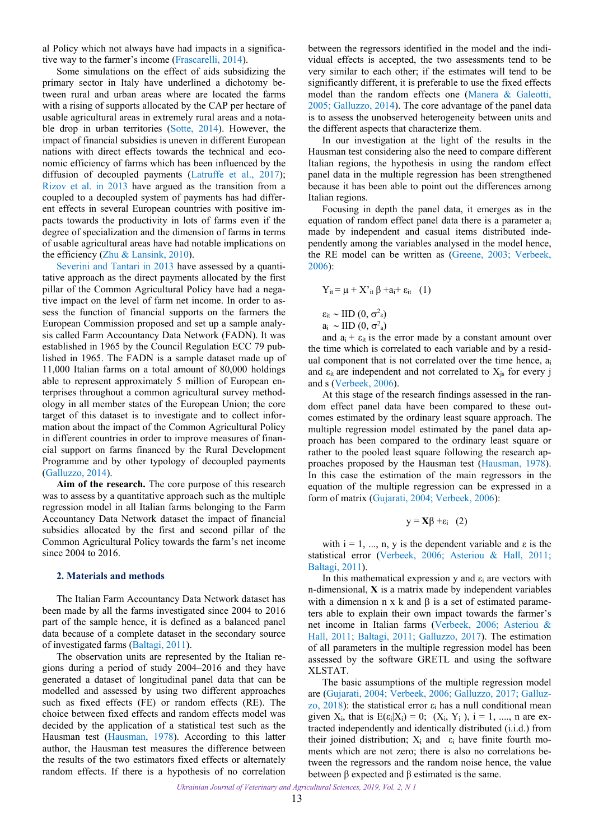<span id="page-1-0"></span>al Policy which not always have had impacts in a significative way to the farmer's income ([Frascarelli, 2014](#page-5-0)).

Some simulations on the effect of aids subsidizing the primary sector in Italy have underlined a dichotomy between rural and urban areas where are located the farms with a rising of supports allocated by the CAP per hectare of usable agricultural areas in extremely rural areas and a notable drop in urban territories ([Sotte, 2014\)](#page-5-0). However, the impact of financial subsidies is uneven in different European nations with direct effects towards the technical and economic efficiency of farms which has been influenced by the diffusion of decoupled payments ([Latruffe et al., 2017](#page-5-0)); [Rizov et al.](#page-5-0) in 2013 have argued as the transition from a coupled to a decoupled system of payments has had different effects in several European countries with positive impacts towards the productivity in lots of farms even if the degree of specialization and the dimension of farms in terms of usable agricultural areas have had notable implications on the efficiency [\(Zhu & Lansink, 2010](#page-5-0)).

[Severini and Tantari in 2013](#page-5-0) have assessed by a quantitative approach as the direct payments allocated by the first pillar of the Common Agricultural Policy have had a negative impact on the level of farm net income. In order to assess the function of financial supports on the farmers the European Commission proposed and set up a sample analysis called Farm Accountancy Data Network (FADN). It was established in 1965 by the Council Regulation ECC 79 published in 1965. The FADN is a sample dataset made up of 11,000 Italian farms on a total amount of 80,000 holdings able to represent approximately 5 million of European enterprises throughout a common agricultural survey methodology in all member states of the European Union; the core target of this dataset is to investigate and to collect information about the impact of the Common Agricultural Policy in different countries in order to improve measures of financial support on farms financed by the Rural Development Programme and by other typology of decoupled payments ([Galluzzo, 2014\)](#page-5-0).

**Aim of the research.** The core purpose of this research was to assess by a quantitative approach such as the multiple regression model in all Italian farms belonging to the Farm Accountancy Data Network dataset the impact of financial subsidies allocated by the first and second pillar of the Common Agricultural Policy towards the farm's net income since 2004 to 2016.

#### **2. Materials and methods**

The Italian Farm Accountancy Data Network dataset has been made by all the farms investigated since 2004 to 2016 part of the sample hence, it is defined as a balanced panel data because of a complete dataset in the secondary source of investigated farms ([Baltagi, 2011\)](#page-5-0).

The observation units are represented by the Italian regions during a period of study 2004–2016 and they have generated a dataset of longitudinal panel data that can be modelled and assessed by using two different approaches such as fixed effects (FE) or random effects (RE). The choice between fixed effects and random effects model was decided by the application of a statistical test such as the Hausman test [\(Hausman, 1978\)](#page-5-0). According to this latter author, the Hausman test measures the difference between the results of the two estimators fixed effects or alternately random effects. If there is a hypothesis of no correlation

between the regressors identified in the model and the individual effects is accepted, the two assessments tend to be very similar to each other; if the estimates will tend to be significantly different, it is preferable to use the fixed effects model than the random effects one [\(Manera & Galeotti,](#page-5-0)  [2005; Galluzzo, 2014\)](#page-5-0). The core advantage of the panel data is to assess the unobserved heterogeneity between units and the different aspects that characterize them.

In our investigation at the light of the results in the Hausman test considering also the need to compare different Italian regions, the hypothesis in using the random effect panel data in the multiple regression has been strengthened because it has been able to point out the differences among Italian regions.

Focusing in depth the panel data, it emerges as in the equation of random effect panel data there is a parameter ai made by independent and casual items distributed independently among the variables analysed in the model hence, the RE model can be written as [\(Greene, 2003](#page-5-0); [Verbeek,](#page-5-0)  [2006](#page-5-0)):

$$
Y_{it} = \mu + X'_{it} \beta + a_i + \epsilon_{it} \quad (1)
$$

$$
\epsilon_{it} \sim \text{IID} (0, \sigma^2_{\epsilon})
$$
  

$$
a_i \sim \text{IID} (0, \sigma^2_{a})
$$

and  $a_i + \varepsilon_{it}$  is the error made by a constant amount over the time which is correlated to each variable and by a residual component that is not correlated over the time hence,  $a_i$ and  $\varepsilon_{it}$  are independent and not correlated to  $X_{is}$  for every j and s ([Verbeek, 2006\)](#page-5-0).

At this stage of the research findings assessed in the random effect panel data have been compared to these outcomes estimated by the ordinary least square approach. The multiple regression model estimated by the panel data approach has been compared to the ordinary least square or rather to the pooled least square following the research approaches proposed by the Hausman test ([Hausman, 1978\)](#page-5-0). In this case the estimation of the main regressors in the equation of the multiple regression can be expressed in a form of matrix ([Gujarati, 2004](#page-5-0); [Verbeek, 2006\)](#page-5-0):

$$
y = X\beta + \varepsilon_i \quad (2)
$$

with  $i = 1, ..., n$ , y is the dependent variable and  $\varepsilon$  is the statistical error ([Verbeek, 2006;](#page-5-0) [Asteriou & Hall, 2011;](#page-5-0) [Baltagi, 2011\)](#page-5-0).

In this mathematical expression y and  $\varepsilon_i$  are vectors with n-dimensional, **X** is a matrix made by independent variables with a dimension  $n \times k$  and  $\beta$  is a set of estimated parameters able to explain their own impact towards the farmer's net income in Italian farms ([Verbeek, 2006](#page-5-0); [Asteriou &](#page-5-0) [Hall, 2011](#page-5-0); [Baltagi, 2011;](#page-5-0) [Galluzzo, 2017](#page-5-0)). The estimation of all parameters in the multiple regression model has been assessed by the software GRETL and using the software XLSTAT.

The basic assumptions of the multiple regression model are [\(Gujarati, 2004](#page-5-0); [Verbeek, 2006](#page-5-0); [Galluzzo, 2017](#page-5-0); [Galluz](#page-5-0)[zo, 2018\)](#page-5-0): the statistical error  $\varepsilon_i$  has a null conditional mean given  $X_i$ , that is  $E(\epsilon_i|X_i) = 0$ ;  $(X_i, Y_i)$ ,  $i = 1, \dots, n$  are extracted independently and identically distributed (i.i.d.) from their joined distribution;  $X_i$  and  $\varepsilon_i$  have finite fourth moments which are not zero; there is also no correlations between the regressors and the random noise hence, the value between β expected and β estimated is the same.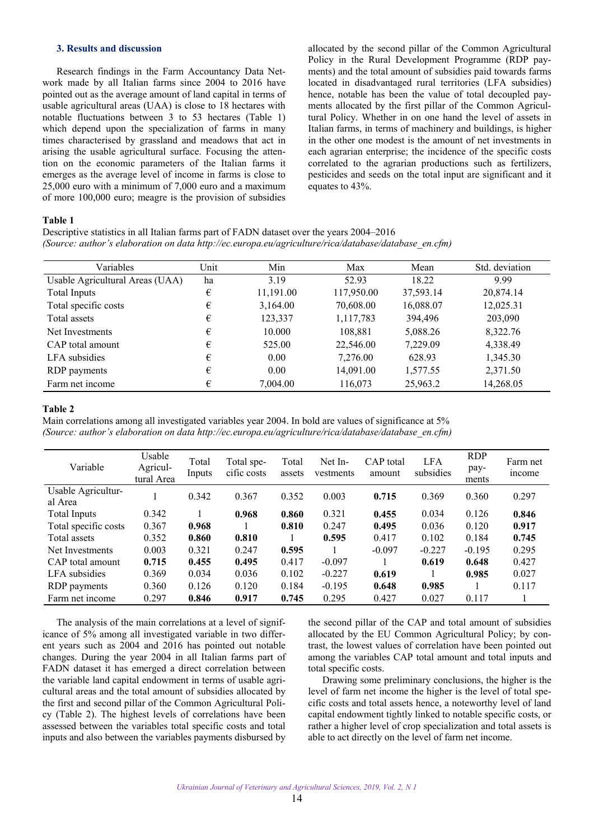## <span id="page-2-0"></span>**3. Results and discussion**

Research findings in the Farm Accountancy Data Network made by all Italian farms since 2004 to 2016 have pointed out as the average amount of land capital in terms of usable agricultural areas (UAA) is close to 18 hectares with notable fluctuations between 3 to 53 hectares (Table 1) which depend upon the specialization of farms in many times characterised by grassland and meadows that act in arising the usable agricultural surface. Focusing the attention on the economic parameters of the Italian farms it emerges as the average level of income in farms is close to 25,000 euro with a minimum of 7,000 euro and a maximum of more 100,000 euro; meagre is the provision of subsidies allocated by the second pillar of the Common Agricultural Policy in the Rural Development Programme (RDP payments) and the total amount of subsidies paid towards farms located in disadvantaged rural territories (LFA subsidies) hence, notable has been the value of total decoupled payments allocated by the first pillar of the Common Agricultural Policy. Whether in on one hand the level of assets in Italian farms, in terms of machinery and buildings, is higher in the other one modest is the amount of net investments in each agrarian enterprise; the incidence of the specific costs correlated to the agrarian productions such as fertilizers, pesticides and seeds on the total input are significant and it equates to 43%.

### **Table 1**

Descriptive statistics in all Italian farms part of FADN dataset over the years 2004–2016 *(Source: author's elaboration on data http://ec.europa.eu/agriculture/rica/database/database\_en.cfm)*

| Variables                       | Unit | Min       | Max        | Mean      | Std. deviation |
|---------------------------------|------|-----------|------------|-----------|----------------|
| Usable Agricultural Areas (UAA) | ha   | 3.19      | 52.93      | 18.22     | 9.99           |
| Total Inputs                    | €    | 11,191.00 | 117,950.00 | 37,593.14 | 20,874.14      |
| Total specific costs            | €    | 3,164.00  | 70,608.00  | 16,088.07 | 12,025.31      |
| Total assets                    | €    | 123,337   | 1,117,783  | 394,496   | 203,090        |
| Net Investments                 | €    | 10.000    | 108,881    | 5,088.26  | 8,322.76       |
| CAP total amount                | €    | 525.00    | 22,546.00  | 7,229.09  | 4,338.49       |
| LFA subsidies                   | €    | 0.00      | 7,276.00   | 628.93    | 1,345.30       |
| RDP payments                    | €    | 0.00      | 14,091.00  | 1,577.55  | 2,371.50       |
| Farm net income                 | €    | 7,004.00  | 116,073    | 25,963.2  | 14,268.05      |

### **Table 2**

Main correlations among all investigated variables year 2004. In bold are values of significance at 5% *(Source: author's elaboration on data http://ec.europa.eu/agriculture/rica/database/database\_en.cfm)* 

| Variable                      | Usable<br>Agricul-<br>tural Area | Total<br>Inputs | Total spe-<br>cific costs | Total<br>assets | Net In-<br>vestments | CAP total<br>amount | <b>LFA</b><br>subsidies | <b>RDP</b><br>pay-<br>ments | Farm net<br><i>n</i> come |
|-------------------------------|----------------------------------|-----------------|---------------------------|-----------------|----------------------|---------------------|-------------------------|-----------------------------|---------------------------|
| Usable Agricultur-<br>al Area |                                  | 0.342           | 0.367                     | 0.352           | 0.003                | 0.715               | 0.369                   | 0.360                       | 0.297                     |
| Total Inputs                  | 0.342                            |                 | 0.968                     | 0.860           | 0.321                | 0.455               | 0.034                   | 0.126                       | 0.846                     |
| Total specific costs          | 0.367                            | 0.968           |                           | 0.810           | 0.247                | 0.495               | 0.036                   | 0.120                       | 0.917                     |
| Total assets                  | 0.352                            | 0.860           | 0.810                     |                 | 0.595                | 0.417               | 0.102                   | 0.184                       | 0.745                     |
| Net Investments               | 0.003                            | 0.321           | 0.247                     | 0.595           |                      | $-0.097$            | $-0.227$                | $-0.195$                    | 0.295                     |
| CAP total amount              | 0.715                            | 0.455           | 0.495                     | 0.417           | $-0.097$             |                     | 0.619                   | 0.648                       | 0.427                     |
| LFA subsidies                 | 0.369                            | 0.034           | 0.036                     | 0.102           | $-0.227$             | 0.619               |                         | 0.985                       | 0.027                     |
| RDP payments                  | 0.360                            | 0.126           | 0.120                     | 0.184           | $-0.195$             | 0.648               | 0.985                   |                             | 0.117                     |
| Farm net income               | 0.297                            | 0.846           | 0.917                     | 0.745           | 0.295                | 0.427               | 0.027                   | 0.117                       |                           |

The analysis of the main correlations at a level of significance of 5% among all investigated variable in two different years such as 2004 and 2016 has pointed out notable changes. During the year 2004 in all Italian farms part of FADN dataset it has emerged a direct correlation between the variable land capital endowment in terms of usable agricultural areas and the total amount of subsidies allocated by the first and second pillar of the Common Agricultural Policy (Table 2). The highest levels of correlations have been assessed between the variables total specific costs and total inputs and also between the variables payments disbursed by

the second pillar of the CAP and total amount of subsidies allocated by the EU Common Agricultural Policy; by contrast, the lowest values of correlation have been pointed out among the variables CAP total amount and total inputs and total specific costs.

Drawing some preliminary conclusions, the higher is the level of farm net income the higher is the level of total specific costs and total assets hence, a noteworthy level of land capital endowment tightly linked to notable specific costs, or rather a higher level of crop specialization and total assets is able to act directly on the level of farm net income.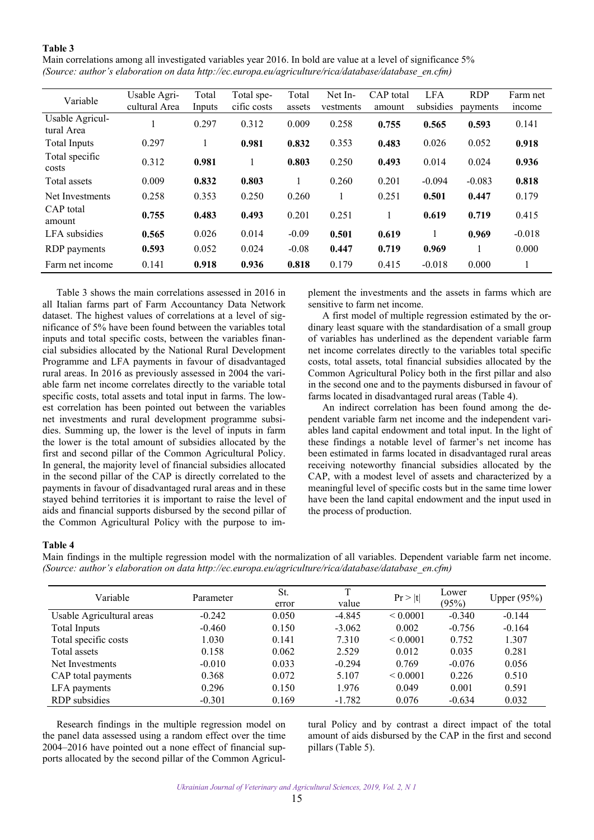## **Table 3**

Main correlations among all investigated variables year 2016. In bold are value at a level of significance 5% *(Source: author's elaboration on data http://ec.europa.eu/agriculture/rica/database/database\_en.cfm)* 

| Variable                      | Usable Agri-  | Total  | Total spe-  | Total   | Net In-   | CAP total | <b>LFA</b> | <b>RDP</b> | Farm net      |
|-------------------------------|---------------|--------|-------------|---------|-----------|-----------|------------|------------|---------------|
|                               | cultural Area | Inputs | cific costs | assets  | vestments | amount    | subsidies  | payments   | <i>n</i> come |
| Usable Agricul-<br>tural Area |               | 0.297  | 0.312       | 0.009   | 0.258     | 0.755     | 0.565      | 0.593      | 0.141         |
| <b>Total Inputs</b>           | 0.297         |        | 0.981       | 0.832   | 0.353     | 0.483     | 0.026      | 0.052      | 0.918         |
| Total specific<br>costs       | 0.312         | 0.981  |             | 0.803   | 0.250     | 0.493     | 0.014      | 0.024      | 0.936         |
| Total assets                  | 0.009         | 0.832  | 0.803       |         | 0.260     | 0.201     | $-0.094$   | $-0.083$   | 0.818         |
| Net Investments               | 0.258         | 0.353  | 0.250       | 0.260   |           | 0.251     | 0.501      | 0.447      | 0.179         |
| CAP total<br>amount           | 0.755         | 0.483  | 0.493       | 0.201   | 0.251     |           | 0.619      | 0.719      | 0.415         |
| LFA subsidies                 | 0.565         | 0.026  | 0.014       | $-0.09$ | 0.501     | 0.619     |            | 0.969      | $-0.018$      |
| RDP payments                  | 0.593         | 0.052  | 0.024       | $-0.08$ | 0.447     | 0.719     | 0.969      |            | 0.000         |
| Farm net income               | 0.141         | 0.918  | 0.936       | 0.818   | 0.179     | 0.415     | $-0.018$   | 0.000      |               |

Table 3 shows the main correlations assessed in 2016 in all Italian farms part of Farm Accountancy Data Network dataset. The highest values of correlations at a level of significance of 5% have been found between the variables total inputs and total specific costs, between the variables financial subsidies allocated by the National Rural Development Programme and LFA payments in favour of disadvantaged rural areas. In 2016 as previously assessed in 2004 the variable farm net income correlates directly to the variable total specific costs, total assets and total input in farms. The lowest correlation has been pointed out between the variables net investments and rural development programme subsidies. Summing up, the lower is the level of inputs in farm the lower is the total amount of subsidies allocated by the first and second pillar of the Common Agricultural Policy. In general, the majority level of financial subsidies allocated in the second pillar of the CAP is directly correlated to the payments in favour of disadvantaged rural areas and in these stayed behind territories it is important to raise the level of aids and financial supports disbursed by the second pillar of the Common Agricultural Policy with the purpose to implement the investments and the assets in farms which are sensitive to farm net income.

A first model of multiple regression estimated by the ordinary least square with the standardisation of a small group of variables has underlined as the dependent variable farm net income correlates directly to the variables total specific costs, total assets, total financial subsidies allocated by the Common Agricultural Policy both in the first pillar and also in the second one and to the payments disbursed in favour of farms located in disadvantaged rural areas (Table 4).

An indirect correlation has been found among the dependent variable farm net income and the independent variables land capital endowment and total input. In the light of these findings a notable level of farmer's net income has been estimated in farms located in disadvantaged rural areas receiving noteworthy financial subsidies allocated by the CAP, with a modest level of assets and characterized by a meaningful level of specific costs but in the same time lower have been the land capital endowment and the input used in the process of production.

#### **Table 4**

Main findings in the multiple regression model with the normalization of all variables. Dependent variable farm net income. *(Source: author's elaboration on data http://ec.europa.eu/agriculture/rica/database/database\_en.cfm)* 

| Variable                  | Parameter | St.<br>error | value    | Pr >  t       | Lower<br>(95%) | Upper $(95%)$ |
|---------------------------|-----------|--------------|----------|---------------|----------------|---------------|
| Usable Agricultural areas | $-0.242$  | 0.050        | $-4.845$ | ${}_{0.0001}$ | $-0.340$       | $-0.144$      |
| <b>Total Inputs</b>       | $-0.460$  | 0.150        | $-3.062$ | 0.002         | $-0.756$       | $-0.164$      |
| Total specific costs      | 1.030     | 0.141        | 7.310    | ${}_{0.0001}$ | 0.752          | 1.307         |
| Total assets              | 0.158     | 0.062        | 2.529    | 0.012         | 0.035          | 0.281         |
| Net Investments           | $-0.010$  | 0.033        | $-0.294$ | 0.769         | $-0.076$       | 0.056         |
| CAP total payments        | 0.368     | 0.072        | 5.107    | ${}_{0.0001}$ | 0.226          | 0.510         |
| LFA payments              | 0.296     | 0.150        | 1.976    | 0.049         | 0.001          | 0.591         |
| RDP subsidies             | $-0.301$  | 0.169        | $-1.782$ | 0.076         | $-0.634$       | 0.032         |

Research findings in the multiple regression model on the panel data assessed using a random effect over the time 2004–2016 have pointed out a none effect of financial supports allocated by the second pillar of the Common Agricultural Policy and by contrast a direct impact of the total amount of aids disbursed by the CAP in the first and second pillars (Table 5).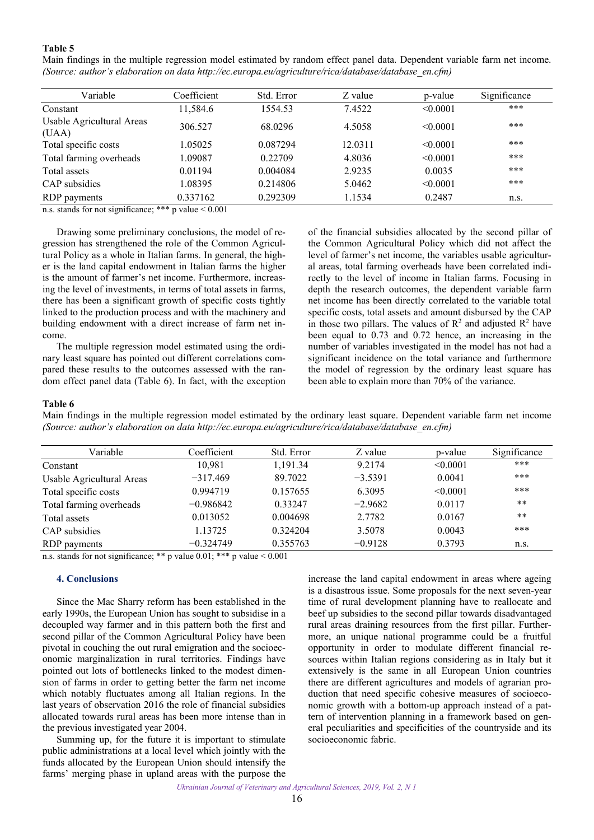## <span id="page-4-0"></span>**Table 5**

| Main findings in the multiple regression model estimated by random effect panel data. Dependent variable farm net income. |  |  |  |  |  |  |  |
|---------------------------------------------------------------------------------------------------------------------------|--|--|--|--|--|--|--|
| (Source: author's elaboration on data http://ec.europa.eu/agriculture/rica/database/database en.cfm)                      |  |  |  |  |  |  |  |

| Coefficient | Std. Error   | Z value | p-value  | Significance |
|-------------|--------------|---------|----------|--------------|
| 11,584.6    | 1554.53      | 7.4522  | < 0.0001 | ***          |
| 306.527     | 68.0296      | 4.5058  | < 0.0001 | ***          |
| 1.05025     | 0.087294     | 12.0311 | < 0.0001 | ***          |
| 1.09087     | 0.22709      | 4.8036  | < 0.0001 | ***          |
| 0.01194     | 0.004084     | 2.9235  | 0.0035   | ***          |
| 1.08395     | 0.214806     | 5.0462  | < 0.0001 | ***          |
| 0.337162    | 0.292309     | 1.1534  | 0.2487   | n.s.         |
|             | الملومات ملو |         |          |              |

n.s. stands for not significance; \*\*\* p value  $< 0.001$ 

Drawing some preliminary conclusions, the model of regression has strengthened the role of the Common Agricultural Policy as a whole in Italian farms. In general, the higher is the land capital endowment in Italian farms the higher is the amount of farmer's net income. Furthermore, increasing the level of investments, in terms of total assets in farms, there has been a significant growth of specific costs tightly linked to the production process and with the machinery and building endowment with a direct increase of farm net income.

The multiple regression model estimated using the ordinary least square has pointed out different correlations compared these results to the outcomes assessed with the random effect panel data (Table 6). In fact, with the exception of the financial subsidies allocated by the second pillar of the Common Agricultural Policy which did not affect the level of farmer's net income, the variables usable agricultural areas, total farming overheads have been correlated indirectly to the level of income in Italian farms. Focusing in depth the research outcomes, the dependent variable farm net income has been directly correlated to the variable total specific costs, total assets and amount disbursed by the CAP in those two pillars. The values of  $\mathbb{R}^2$  and adjusted  $\mathbb{R}^2$  have been equal to 0.73 and 0.72 hence, an increasing in the number of variables investigated in the model has not had a significant incidence on the total variance and furthermore the model of regression by the ordinary least square has been able to explain more than 70% of the variance.

#### **Table 6**

Main findings in the multiple regression model estimated by the ordinary least square. Dependent variable farm net income *(Source: author's elaboration on data http://ec.europa.eu/agriculture/rica/database/database\_en.cfm)* 

| Variable                  | Coefficient | Std. Error | Z value   | p-value  | Significance |
|---------------------------|-------------|------------|-----------|----------|--------------|
| Constant                  | 10.981      | 1,191.34   | 9.2174    | < 0.0001 | ***          |
| Usable Agricultural Areas | $-317.469$  | 89.7022    | $-3.5391$ | 0.0041   | ***          |
| Total specific costs      | 0.994719    | 0.157655   | 6.3095    | < 0.0001 | ***          |
| Total farming overheads   | $-0.986842$ | 0.33247    | $-2.9682$ | 0.0117   | **           |
| Total assets              | 0.013052    | 0.004698   | 2.7782    | 0.0167   | **           |
| CAP subsidies             | 1.13725     | 0.324204   | 3.5078    | 0.0043   | ***          |
| RDP payments              | $-0.324749$ | 0.355763   | $-0.9128$ | 0.3793   | n.s.         |

n.s. stands for not significance; \*\* p value  $0.01$ ; \*\*\* p value  $0.001$ 

#### **4. Conclusions**

Since the Mac Sharry reform has been established in the early 1990s, the European Union has sought to subsidise in a decoupled way farmer and in this pattern both the first and second pillar of the Common Agricultural Policy have been pivotal in couching the out rural emigration and the socioeconomic marginalization in rural territories. Findings have pointed out lots of bottlenecks linked to the modest dimension of farms in order to getting better the farm net income which notably fluctuates among all Italian regions. In the last years of observation 2016 the role of financial subsidies allocated towards rural areas has been more intense than in the previous investigated year 2004.

Summing up, for the future it is important to stimulate public administrations at a local level which jointly with the funds allocated by the European Union should intensify the farms' merging phase in upland areas with the purpose the

increase the land capital endowment in areas where ageing is a disastrous issue. Some proposals for the next seven-year time of rural development planning have to reallocate and beef up subsidies to the second pillar towards disadvantaged rural areas draining resources from the first pillar. Furthermore, an unique national programme could be a fruitful opportunity in order to modulate different financial resources within Italian regions considering as in Italy but it extensively is the same in all European Union countries there are different agricultures and models of agrarian production that need specific cohesive measures of socioeconomic growth with a bottom-up approach instead of a pattern of intervention planning in a framework based on general peculiarities and specificities of the countryside and its socioeconomic fabric.